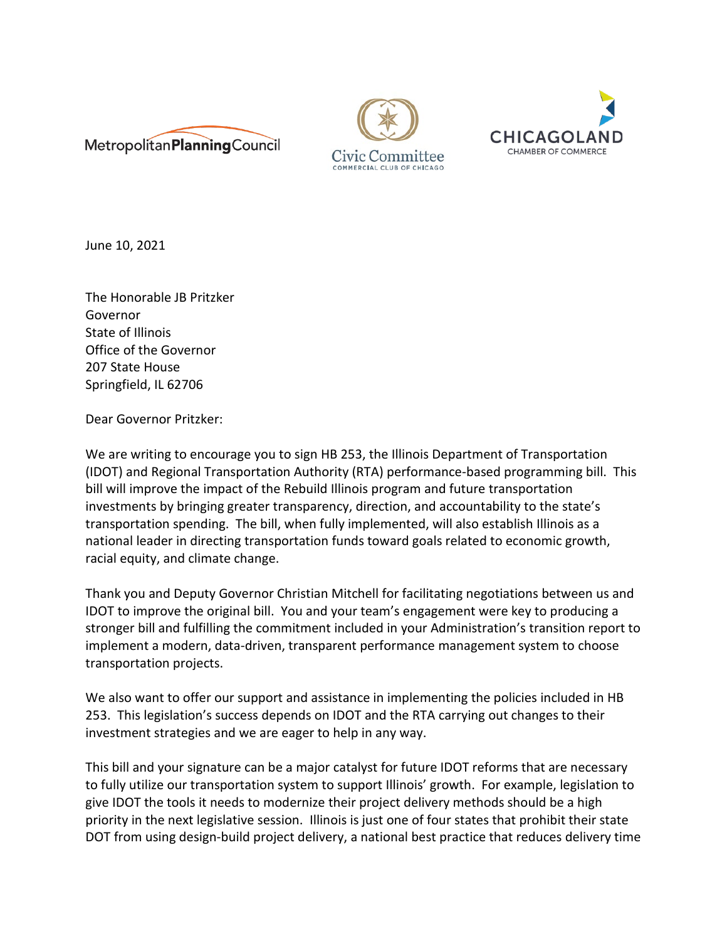





June 10, 2021

The Honorable JB Pritzker Governor State of Illinois Office of the Governor 207 State House Springfield, IL 62706

Dear Governor Pritzker:

We are writing to encourage you to sign HB 253, the Illinois Department of Transportation (IDOT) and Regional Transportation Authority (RTA) performance-based programming bill. This bill will improve the impact of the Rebuild Illinois program and future transportation investments by bringing greater transparency, direction, and accountability to the state's transportation spending. The bill, when fully implemented, will also establish Illinois as a national leader in directing transportation funds toward goals related to economic growth, racial equity, and climate change.

Thank you and Deputy Governor Christian Mitchell for facilitating negotiations between us and IDOT to improve the original bill. You and your team's engagement were key to producing a stronger bill and fulfilling the commitment included in your Administration's transition report to implement a modern, data-driven, transparent performance management system to choose transportation projects.

We also want to offer our support and assistance in implementing the policies included in HB 253. This legislation's success depends on IDOT and the RTA carrying out changes to their investment strategies and we are eager to help in any way.

This bill and your signature can be a major catalyst for future IDOT reforms that are necessary to fully utilize our transportation system to support Illinois' growth. For example, legislation to give IDOT the tools it needs to modernize their project delivery methods should be a high priority in the next legislative session. Illinois is just one of four states that prohibit their state DOT from using design-build project delivery, a national best practice that reduces delivery time